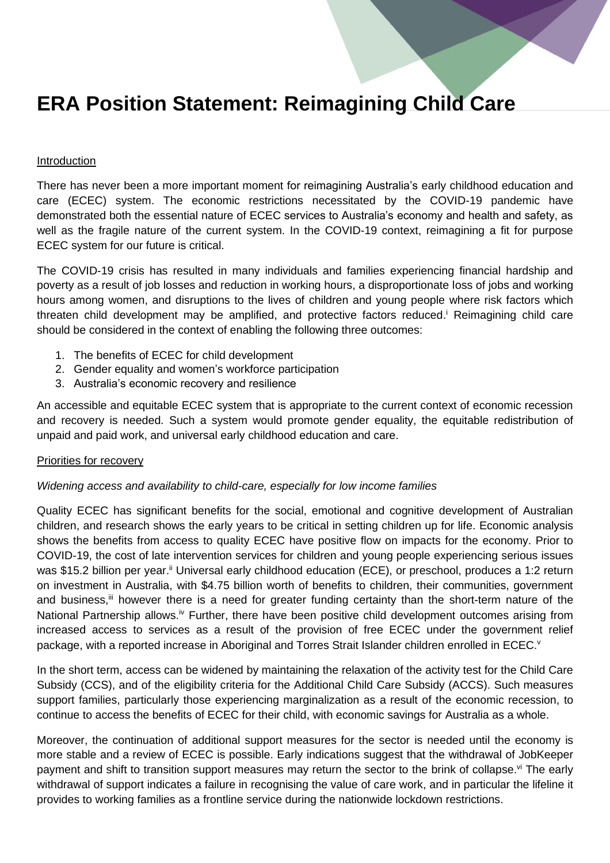# **ERA Position Statement: Reimagining Child Care**

#### Introduction

There has never been a more important moment for reimagining Australia's early childhood education and care (ECEC) system. The economic restrictions necessitated by the COVID-19 pandemic have demonstrated both the essential nature of ECEC services to Australia's economy and health and safety, as well as the fragile nature of the current system. In the COVID-19 context, reimagining a fit for purpose ECEC system for our future is critical.

The COVID-19 crisis has resulted in many individuals and families experiencing financial hardship and poverty as a result of job losses and reduction in working hours, a disproportionate loss of jobs and working hours among women, and disruptions to the lives of children and young people where risk factors which threaten child development may be amplified, and protective factors reduced.<sup>i</sup> Reimagining child care should be considered in the context of enabling the following three outcomes:

- 1. The benefits of ECEC for child development
- 2. Gender equality and women's workforce participation
- 3. Australia's economic recovery and resilience

An accessible and equitable ECEC system that is appropriate to the current context of economic recession and recovery is needed. Such a system would promote gender equality, the equitable redistribution of unpaid and paid work, and universal early childhood education and care.

#### Priorities for recovery

#### *Widening access and availability to child-care, especially for low income families*

Quality ECEC has significant benefits for the social, emotional and cognitive development of Australian children, and research shows the early years to be critical in setting children up for life. Economic analysis shows the benefits from access to quality ECEC have positive flow on impacts for the economy. Prior to COVID-19, the cost of late intervention services for children and young people experiencing serious issues was \$15.2 billion per year.<sup>ii</sup> Universal early childhood education (ECE), or preschool, produces a 1:2 return on investment in Australia, with \$4.75 billion worth of benefits to children, their communities, government and business,<sup>iii</sup> however there is a need for greater funding certainty than the short-term nature of the National Partnership allows.<sup>iv</sup> Further, there have been positive child development outcomes arising from increased access to services as a result of the provision of free ECEC under the government relief package, with a reported increase in Aboriginal and Torres Strait Islander children enrolled in ECEC.<sup>v</sup>

In the short term, access can be widened by maintaining the relaxation of the activity test for the Child Care Subsidy (CCS), and of the eligibility criteria for the Additional Child Care Subsidy (ACCS). Such measures support families, particularly those experiencing marginalization as a result of the economic recession, to continue to access the benefits of ECEC for their child, with economic savings for Australia as a whole.

Moreover, the continuation of additional support measures for the sector is needed until the economy is more stable and a review of ECEC is possible. Early indications suggest that the withdrawal of JobKeeper payment and shift to transition support measures may return the sector to the brink of collapse.<sup>vi</sup> The early withdrawal of support indicates a failure in recognising the value of care work, and in particular the lifeline it provides to working families as a frontline service during the nationwide lockdown restrictions.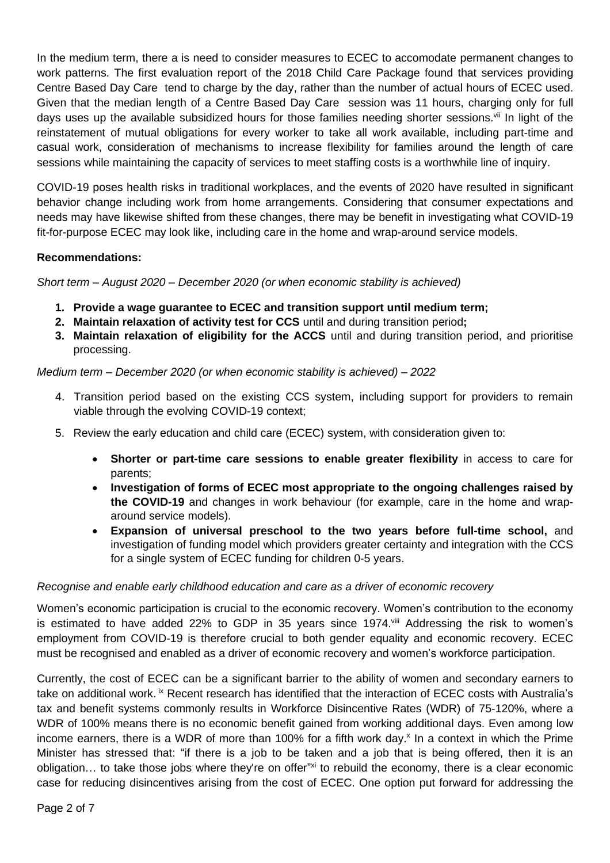In the medium term, there a is need to consider measures to ECEC to accomodate permanent changes to work patterns. The first evaluation report of the 2018 Child Care Package found that services providing Centre Based Day Care tend to charge by the day, rather than the number of actual hours of ECEC used. Given that the median length of a Centre Based Day Care session was 11 hours, charging only for full days uses up the available subsidized hours for those families needing shorter sessions.<sup>vii</sup> In light of the reinstatement of mutual obligations for every worker to take all work available, including part-time and casual work, consideration of mechanisms to increase flexibility for families around the length of care sessions while maintaining the capacity of services to meet staffing costs is a worthwhile line of inquiry.

COVID-19 poses health risks in traditional workplaces, and the events of 2020 have resulted in significant behavior change including work from home arrangements. Considering that consumer expectations and needs may have likewise shifted from these changes, there may be benefit in investigating what COVID-19 fit-for-purpose ECEC may look like, including care in the home and wrap-around service models.

# **Recommendations:**

*Short term – August 2020 – December 2020 (or when economic stability is achieved)*

- **1. Provide a wage guarantee to ECEC and transition support until medium term;**
- **2. Maintain relaxation of activity test for CCS** until and during transition period**;**
- **3. Maintain relaxation of eligibility for the ACCS** until and during transition period, and prioritise processing.

# *Medium term – December 2020 (or when economic stability is achieved) – 2022*

- 4. Transition period based on the existing CCS system, including support for providers to remain viable through the evolving COVID-19 context;
- 5. Review the early education and child care (ECEC) system, with consideration given to:
	- **Shorter or part-time care sessions to enable greater flexibility** in access to care for parents;
	- **Investigation of forms of ECEC most appropriate to the ongoing challenges raised by the COVID-19** and changes in work behaviour (for example, care in the home and wraparound service models).
	- **Expansion of universal preschool to the two years before full-time school,** and investigation of funding model which providers greater certainty and integration with the CCS for a single system of ECEC funding for children 0-5 years.

#### *Recognise and enable early childhood education and care as a driver of economic recovery*

Women's economic participation is crucial to the economic recovery. Women's contribution to the economy is estimated to have added 22% to GDP in 35 years since 1974.<sup>viii</sup> Addressing the risk to women's employment from COVID-19 is therefore crucial to both gender equality and economic recovery. ECEC must be recognised and enabled as a driver of economic recovery and women's workforce participation.

Currently, the cost of ECEC can be a significant barrier to the ability of women and secondary earners to take on additional work. <sup>ix</sup> Recent research has identified that the interaction of ECEC costs with Australia's tax and benefit systems commonly results in Workforce Disincentive Rates (WDR) of 75-120%, where a WDR of 100% means there is no economic benefit gained from working additional days. Even among low income earners, there is a WDR of more than 100% for a fifth work day.<sup>x</sup> In a context in which the Prime Minister has stressed that: "if there is a job to be taken and a job that is being offered, then it is an obligation... to take those jobs where they're on offer"xi to rebuild the economy, there is a clear economic case for reducing disincentives arising from the cost of ECEC. One option put forward for addressing the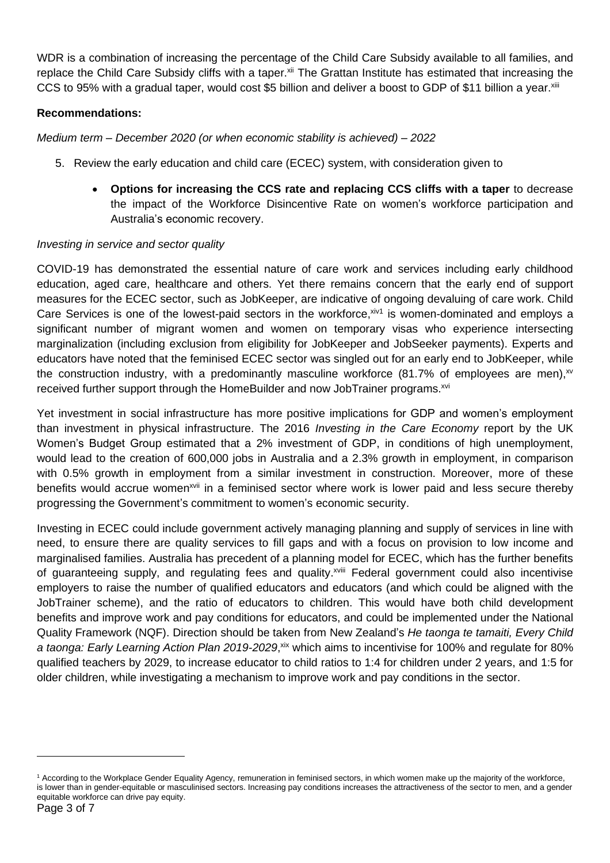WDR is a combination of increasing the percentage of the Child Care Subsidy available to all families, and replace the Child Care Subsidy cliffs with a taper.<sup>xii</sup> The Grattan Institute has estimated that increasing the CCS to 95% with a gradual taper, would cost \$5 billion and deliver a boost to GDP of \$11 billion a year.<sup>xiii</sup>

# **Recommendations:**

*Medium term – December 2020 (or when economic stability is achieved) – 2022* 

- 5. Review the early education and child care (ECEC) system, with consideration given to
	- **Options for increasing the CCS rate and replacing CCS cliffs with a taper** to decrease the impact of the Workforce Disincentive Rate on women's workforce participation and Australia's economic recovery.

#### *Investing in service and sector quality*

COVID-19 has demonstrated the essential nature of care work and services including early childhood education, aged care, healthcare and others. Yet there remains concern that the early end of support measures for the ECEC sector, such as JobKeeper, are indicative of ongoing devaluing of care work. Child Care Services is one of the lowest-paid sectors in the workforce, xiv1 is women-dominated and employs a significant number of migrant women and women on temporary visas who experience intersecting marginalization (including exclusion from eligibility for JobKeeper and JobSeeker payments). Experts and educators have noted that the feminised ECEC sector was singled out for an early end to JobKeeper, while the construction industry, with a predominantly masculine workforce (81.7% of employees are men),  $xv$ received further support through the HomeBuilder and now JobTrainer programs.<sup>xvi</sup>

Yet investment in social infrastructure has more positive implications for GDP and women's employment than investment in physical infrastructure. The 2016 *Investing in the Care Economy* report by the UK Women's Budget Group estimated that a 2% investment of GDP, in conditions of high unemployment, would lead to the creation of 600,000 jobs in Australia and a 2.3% growth in employment, in comparison with 0.5% growth in employment from a similar investment in construction. Moreover, more of these benefits would accrue women<sup>xvii</sup> in a feminised sector where work is lower paid and less secure thereby progressing the Government's commitment to women's economic security.

Investing in ECEC could include government actively managing planning and supply of services in line with need, to ensure there are quality services to fill gaps and with a focus on provision to low income and marginalised families. Australia has precedent of a planning model for ECEC, which has the further benefits of guaranteeing supply, and regulating fees and quality.<sup>xviii</sup> Federal government could also incentivise employers to raise the number of qualified educators and educators (and which could be aligned with the JobTrainer scheme), and the ratio of educators to children. This would have both child development benefits and improve work and pay conditions for educators, and could be implemented under the National Quality Framework (NQF). Direction should be taken from New Zealand's *He taonga te tamaiti, Every Child*  a taonga: Early Learning Action Plan 2019-2029,<sup>xix</sup> which aims to incentivise for 100% and regulate for 80% qualified teachers by 2029, to increase educator to child ratios to 1:4 for children under 2 years, and 1:5 for older children, while investigating a mechanism to improve work and pay conditions in the sector.

<sup>1</sup> According to the Workplace Gender Equality Agency, remuneration in feminised sectors, in which women make up the majority of the workforce, is lower than in gender-equitable or masculinised sectors. Increasing pay conditions increases the attractiveness of the sector to men, and a gender equitable workforce can drive pay equity.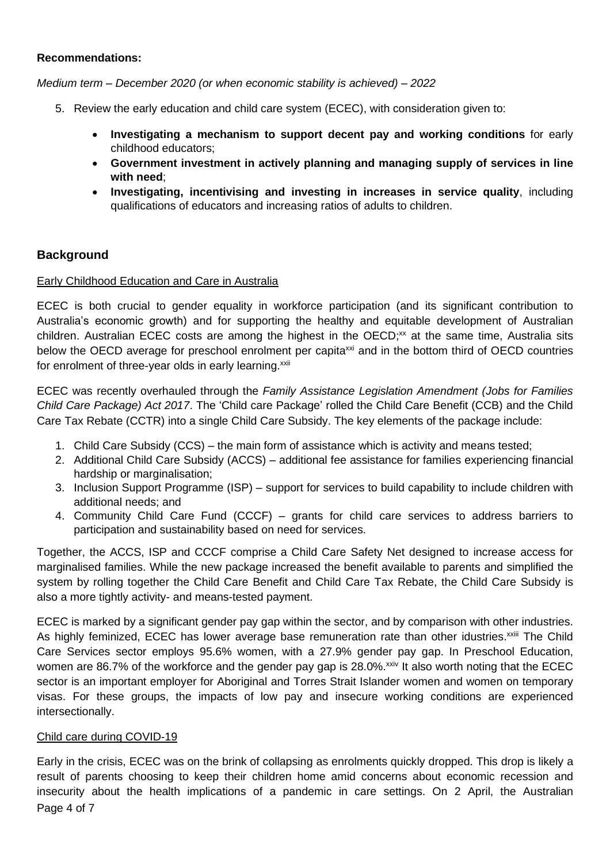#### **Recommendations:**

*Medium term – December 2020 (or when economic stability is achieved) – 2022* 

- 5. Review the early education and child care system (ECEC), with consideration given to:
	- **Investigating a mechanism to support decent pay and working conditions** for early childhood educators;
	- **Government investment in actively planning and managing supply of services in line with need**;
	- **Investigating, incentivising and investing in increases in service quality**, including qualifications of educators and increasing ratios of adults to children.

# **Background**

#### Early Childhood Education and Care in Australia

ECEC is both crucial to gender equality in workforce participation (and its significant contribution to Australia's economic growth) and for supporting the healthy and equitable development of Australian children. Australian ECEC costs are among the highest in the OECD;<sup>xx</sup> at the same time, Australia sits below the OECD average for preschool enrolment per capita<sup>xxi</sup> and in the bottom third of OECD countries for enrolment of three-year olds in early learning.<sup>xxii</sup>

ECEC was recently overhauled through the *Family Assistance Legislation Amendment (Jobs for Families Child Care Package) Act 2017*. The 'Child care Package' rolled the Child Care Benefit (CCB) and the Child Care Tax Rebate (CCTR) into a single Child Care Subsidy. The key elements of the package include:

- 1. Child Care Subsidy (CCS) the main form of assistance which is activity and means tested;
- 2. Additional Child Care Subsidy (ACCS) additional fee assistance for families experiencing financial hardship or marginalisation;
- 3. Inclusion Support Programme (ISP) support for services to build capability to include children with additional needs; and
- 4. Community Child Care Fund (CCCF) grants for child care services to address barriers to participation and sustainability based on need for services.

Together, the ACCS, ISP and CCCF comprise a Child Care Safety Net designed to increase access for marginalised families. While the new package increased the benefit available to parents and simplified the system by rolling together the Child Care Benefit and Child Care Tax Rebate, the Child Care Subsidy is also a more tightly activity- and means-tested payment.

ECEC is marked by a significant gender pay gap within the sector, and by comparison with other industries. As highly feminized, ECEC has lower average base remuneration rate than other idustries.<sup>xxiii</sup> The Child Care Services sector employs 95.6% women, with a 27.9% gender pay gap. In Preschool Education, women are 86.7% of the workforce and the gender pay gap is 28.0%.<sup>xxiv</sup> It also worth noting that the ECEC sector is an important employer for Aboriginal and Torres Strait Islander women and women on temporary visas. For these groups, the impacts of low pay and insecure working conditions are experienced intersectionally.

#### Child care during COVID-19

Page 4 of 7 Early in the crisis, ECEC was on the brink of collapsing as enrolments quickly dropped. This drop is likely a result of parents choosing to keep their children home amid concerns about economic recession and insecurity about the health implications of a pandemic in care settings. On 2 April, the Australian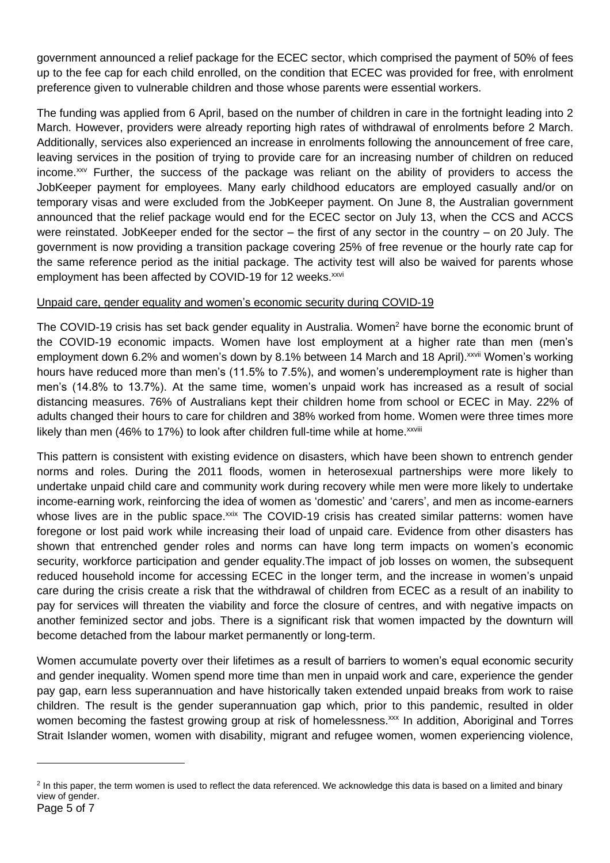government announced a relief package for the ECEC sector, which comprised the payment of 50% of fees up to the fee cap for each child enrolled, on the condition that ECEC was provided for free, with enrolment preference given to vulnerable children and those whose parents were essential workers.

The funding was applied from 6 April, based on the number of children in care in the fortnight leading into 2 March. However, providers were already reporting high rates of withdrawal of enrolments before 2 March. Additionally, services also experienced an increase in enrolments following the announcement of free care, leaving services in the position of trying to provide care for an increasing number of children on reduced income.xxv Further, the success of the package was reliant on the ability of providers to access the JobKeeper payment for employees. Many early childhood educators are employed casually and/or on temporary visas and were excluded from the JobKeeper payment. On June 8, the Australian government announced that the relief package would end for the ECEC sector on July 13, when the CCS and ACCS were reinstated. JobKeeper ended for the sector – the first of any sector in the country – on 20 July. The government is now providing a transition package covering 25% of free revenue or the hourly rate cap for the same reference period as the initial package. The activity test will also be waived for parents whose employment has been affected by COVID-19 for 12 weeks.<sup>xxvi</sup>

# Unpaid care, gender equality and women's economic security during COVID-19

The COVID-19 crisis has set back gender equality in Australia. Women<sup>2</sup> have borne the economic brunt of the COVID-19 economic impacts. Women have lost employment at a higher rate than men (men's employment down 6.2% and women's down by 8.1% between 14 March and 18 April). XXVII Women's working hours have reduced more than men's (11.5% to 7.5%), and women's underemployment rate is higher than men's (14.8% to 13.7%). At the same time, women's unpaid work has increased as a result of social distancing measures. 76% of Australians kept their children home from school or ECEC in May. 22% of adults changed their hours to care for children and 38% worked from home. Women were three times more likely than men (46% to 17%) to look after children full-time while at home. $^{xxViii}$ 

This pattern is consistent with existing evidence on disasters, which have been shown to entrench gender norms and roles. During the 2011 floods, women in heterosexual partnerships were more likely to undertake unpaid child care and community work during recovery while men were more likely to undertake income-earning work, reinforcing the idea of women as 'domestic' and 'carers', and men as income-earners whose lives are in the public space.<sup>xxix</sup> The COVID-19 crisis has created similar patterns: women have foregone or lost paid work while increasing their load of unpaid care. Evidence from other disasters has shown that entrenched gender roles and norms can have long term impacts on women's economic security, workforce participation and gender equality.The impact of job losses on women, the subsequent reduced household income for accessing ECEC in the longer term, and the increase in women's unpaid care during the crisis create a risk that the withdrawal of children from ECEC as a result of an inability to pay for services will threaten the viability and force the closure of centres, and with negative impacts on another feminized sector and jobs. There is a significant risk that women impacted by the downturn will become detached from the labour market permanently or long-term.

Women accumulate poverty over their lifetimes as a result of barriers to women's equal economic security and gender inequality. Women spend more time than men in unpaid work and care, experience the gender pay gap, earn less superannuation and have historically taken extended unpaid breaks from work to raise children. The result is the gender superannuation gap which, prior to this pandemic, resulted in older women becoming the fastest growing group at risk of homelessness.<sup>xxx</sup> In addition, Aboriginal and Torres Strait Islander women, women with disability, migrant and refugee women, women experiencing violence,

<sup>&</sup>lt;sup>2</sup> In this paper, the term women is used to reflect the data referenced. We acknowledge this data is based on a limited and binary view of gender.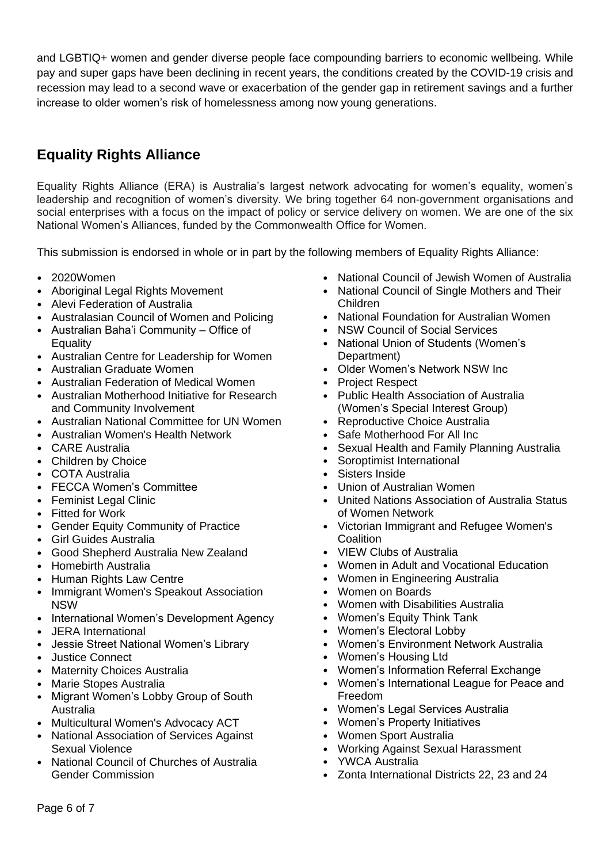and LGBTIQ+ women and gender diverse people face compounding barriers to economic wellbeing. While pay and super gaps have been declining in recent years, the conditions created by the COVID-19 crisis and recession may lead to a second wave or exacerbation of the gender gap in retirement savings and a further increase to older women's risk of homelessness among now young generations.

# **Equality Rights Alliance**

Equality Rights Alliance (ERA) is Australia's largest network advocating for women's equality, women's leadership and recognition of women's diversity. We bring together 64 non-government organisations and social enterprises with a focus on the impact of policy or service delivery on women. We are one of the six National Women's Alliances, funded by the Commonwealth Office for Women.

This submission is endorsed in whole or in part by the following members of Equality Rights Alliance:

- 2020Women
- Aboriginal Legal Rights Movement
- Alevi Federation of Australia
- Australasian Council of Women and Policing
- Australian Baha'i Community Office of **Equality**
- Australian Centre for Leadership for Women
- Australian Graduate Women
- Australian Federation of Medical Women
- Australian Motherhood Initiative for Research and Community Involvement
- Australian National Committee for UN Women
- Australian Women's Health Network
- CARE Australia
- Children by Choice
- COTA Australia
- FECCA Women's Committee
- Feminist Legal Clinic
- Fitted for Work
- Gender Equity Community of Practice
- Girl Guides Australia
- Good Shepherd Australia New Zealand
- Homebirth Australia
- **Human Rights Law Centre**
- Immigrant Women's Speakout Association NSW
- International Women's Development Agency
- JERA International
- Jessie Street National Women's Library
- Justice Connect
- Maternity Choices Australia
- Marie Stopes Australia
- Migrant Women's Lobby Group of South Australia
- Multicultural Women's Advocacy ACT
- National Association of Services Against Sexual Violence
- National Council of Churches of Australia Gender Commission
- National Council of Jewish Women of Australia
- National Council of Single Mothers and Their Children
- National Foundation for Australian Women
- NSW Council of Social Services
- National Union of Students (Women's Department)
- Older Women's Network NSW Inc
- Project Respect
- Public Health Association of Australia (Women's Special Interest Group)
- Reproductive Choice Australia
- Safe Motherhood For All Inc
- Sexual Health and Family Planning Australia
- Soroptimist International
- Sisters Inside
- Union of Australian Women
- United Nations Association of Australia Status of Women Network
- Victorian Immigrant and Refugee Women's **Coalition**
- VIEW Clubs of Australia
- Women in Adult and Vocational Education
- Women in Engineering Australia
- Women on Boards
- Women with Disabilities Australia
- Women's Equity Think Tank
- Women's Electoral Lobby
- Women's Environment Network Australia
- Women's Housing Ltd
- Women's Information Referral Exchange
- Women's International League for Peace and Freedom
- Women's Legal Services Australia
- Women's Property Initiatives
- Women Sport Australia
- Working Against Sexual Harassment
- YWCA Australia
- Zonta International Districts 22, 23 and 24